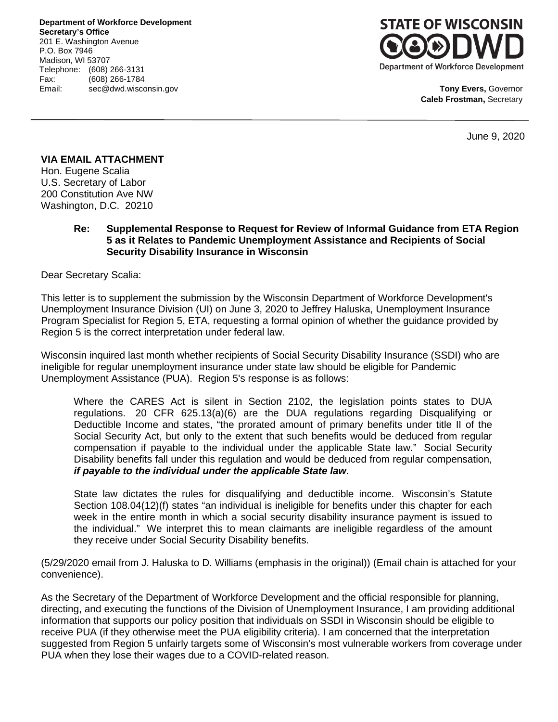**Department of Workforce Development Secretary's Office** 201 E. Washington Avenue P.O. Box 7946 Madison, WI 53707 Telephone: (608) 266-3131 Fax: (608) 266-1784 Email: sec@dwd.wisconsin.gov



**Tony Evers,** Governor **Caleb Frostman,** Secretary

June 9, 2020

## **VIA EMAIL ATTACHMENT**

Hon. Eugene Scalia U.S. Secretary of Labor 200 Constitution Ave NW Washington, D.C. 20210

> **Re: Supplemental Response to Request for Review of Informal Guidance from ETA Region 5 as it Relates to Pandemic Unemployment Assistance and Recipients of Social Security Disability Insurance in Wisconsin**

Dear Secretary Scalia:

This letter is to supplement the submission by the Wisconsin Department of Workforce Development's Unemployment Insurance Division (UI) on June 3, 2020 to Jeffrey Haluska, Unemployment Insurance Program Specialist for Region 5, ETA, requesting a formal opinion of whether the guidance provided by Region 5 is the correct interpretation under federal law.

Wisconsin inquired last month whether recipients of Social Security Disability Insurance (SSDI) who are ineligible for regular unemployment insurance under state law should be eligible for Pandemic Unemployment Assistance (PUA). Region 5's response is as follows:

Where the CARES Act is silent in Section 2102, the legislation points states to DUA regulations. 20 CFR 625.13(a)(6) are the DUA regulations regarding Disqualifying or Deductible Income and states, "the prorated amount of primary benefits under title II of the [Social Security Act,](https://gcc01.safelinks.protection.outlook.com/?url=https%3A%2F%2Fwww.law.cornell.edu%2Ftopn%2Fold_age_pension_act&data=02%7C01%7CHaluska.Jeffery.B%40dol.gov%7Ce15960f3f3ea4a84dc0008d804069ddd%7C75a6305472044e0c9126adab971d4aca%7C0%7C0%7C637263773749987135&sdata=uJqYiUCms%2FdIj3zteI48Dk4FbgjutJoC6mfWxwXvb8E%3D&reserved=0) but only to the extent that such benefits would be deduced from [regular](https://gcc01.safelinks.protection.outlook.com/?url=https%3A%2F%2Fwww.law.cornell.edu%2Fdefinitions%2Findex.php%3Fwidth%3D840%26height%3D800%26iframe%3Dtrue%26def_id%3Dc48f96fb00e3812503767b8844bea5f1%26term_occur%3D999%26term_src%3DTitle%3A20%3AChapter%3AV%3APart%3A625%3A625.13&data=02%7C01%7CHaluska.Jeffery.B%40dol.gov%7Ce15960f3f3ea4a84dc0008d804069ddd%7C75a6305472044e0c9126adab971d4aca%7C0%7C0%7C637263773749997092&sdata=5nvBHBxUTym5%2BlwnSOwv0LOJb14zVioot8epjSXJwrI%3D&reserved=0)  [compensation](https://gcc01.safelinks.protection.outlook.com/?url=https%3A%2F%2Fwww.law.cornell.edu%2Fdefinitions%2Findex.php%3Fwidth%3D840%26height%3D800%26iframe%3Dtrue%26def_id%3Dc48f96fb00e3812503767b8844bea5f1%26term_occur%3D999%26term_src%3DTitle%3A20%3AChapter%3AV%3APart%3A625%3A625.13&data=02%7C01%7CHaluska.Jeffery.B%40dol.gov%7Ce15960f3f3ea4a84dc0008d804069ddd%7C75a6305472044e0c9126adab971d4aca%7C0%7C0%7C637263773749997092&sdata=5nvBHBxUTym5%2BlwnSOwv0LOJb14zVioot8epjSXJwrI%3D&reserved=0) if payable to the individual under the applicable [State law.](https://gcc01.safelinks.protection.outlook.com/?url=https%3A%2F%2Fwww.law.cornell.edu%2Fdefinitions%2Findex.php%3Fwidth%3D840%26height%3D800%26iframe%3Dtrue%26def_id%3D4d6d1a1d51d4a2b85b7b699119df446b%26term_occur%3D999%26term_src%3DTitle%3A20%3AChapter%3AV%3APart%3A625%3A625.13&data=02%7C01%7CHaluska.Jeffery.B%40dol.gov%7Ce15960f3f3ea4a84dc0008d804069ddd%7C75a6305472044e0c9126adab971d4aca%7C0%7C0%7C637263773749997092&sdata=HKeV2j0acNVym6PEnXDlAMEq7hOs1iWD1lXPp0NG58U%3D&reserved=0)" Social Security Disability benefits fall under this regulation and would be deduced from regular compensation, *if payable to the individual under the applicable State law*.

State law dictates the rules for disqualifying and deductible income. Wisconsin's Statute Section 108.04(12)(f) states "an individual is ineligible for benefits under this chapter for each week in the entire month in which a social security disability insurance payment is issued to the individual." We interpret this to mean claimants are ineligible regardless of the amount they receive under Social Security Disability benefits.

(5/29/2020 email from J. Haluska to D. Williams (emphasis in the original)) (Email chain is attached for your convenience).

As the Secretary of the Department of Workforce Development and the official responsible for planning, directing, and executing the functions of the Division of Unemployment Insurance, I am providing additional information that supports our policy position that individuals on SSDI in Wisconsin should be eligible to receive PUA (if they otherwise meet the PUA eligibility criteria). I am concerned that the interpretation suggested from Region 5 unfairly targets some of Wisconsin's most vulnerable workers from coverage under PUA when they lose their wages due to a COVID-related reason.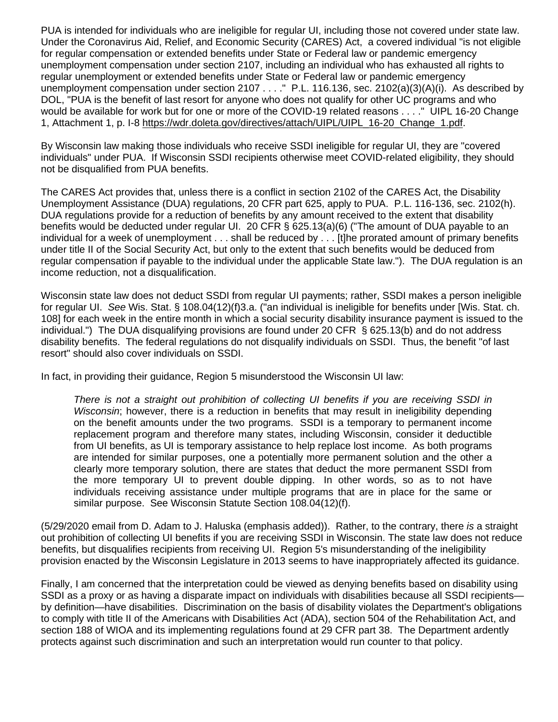PUA is intended for individuals who are ineligible for regular UI, including those not covered under state law. Under the Coronavirus Aid, Relief, and Economic Security (CARES) Act, a covered individual "is not eligible for regular compensation or extended benefits under State or Federal law or pandemic emergency unemployment compensation under section 2107, including an individual who has exhausted all rights to regular unemployment or extended benefits under State or Federal law or pandemic emergency unemployment compensation under section 2107 . . . ." P.L. 116.136, sec. 2102(a)(3)(A)(i). As described by DOL, "PUA is the benefit of last resort for anyone who does not qualify for other UC programs and who would be available for work but for one or more of the COVID-19 related reasons . . . ." UIPL 16-20 Change 1, Attachment 1, p. I-8 [https://wdr.doleta.gov/directives/attach/UIPL/UIPL\\_16-20\\_Change\\_1.pdf.](https://wdr.doleta.gov/directives/attach/UIPL/UIPL_16-20_Change_1.pdf)

By Wisconsin law making those individuals who receive SSDI ineligible for regular UI, they are "covered individuals" under PUA. If Wisconsin SSDI recipients otherwise meet COVID-related eligibility, they should not be disqualified from PUA benefits.

The CARES Act provides that, unless there is a conflict in section 2102 of the CARES Act, the Disability Unemployment Assistance (DUA) regulations, 20 CFR part 625, apply to PUA. P.L. 116-136, sec. 2102(h). DUA regulations provide for a reduction of benefits by any amount received to the extent that disability benefits would be deducted under regular UI. 20 CFR § 625.13(a)(6) ("The amount of DUA payable to an individual for a week of unemployment . . . shall be reduced by . . . [t]he prorated amount of primary benefits under title II of the Social Security Act, but only to the extent that such benefits would be deduced from regular compensation if payable to the individual under the applicable State law."). The DUA regulation is an income reduction, not a disqualification.

Wisconsin state law does not deduct SSDI from regular UI payments; rather, SSDI makes a person ineligible for regular UI. *See* Wis. Stat. § 108.04(12)(f)3.a. ("an individual is ineligible for benefits under [Wis. Stat. ch. 108] for each week in the entire month in which a social security disability insurance payment is issued to the individual.") The DUA disqualifying provisions are found under 20 CFR § 625.13(b) and do not address disability benefits. The federal regulations do not disqualify individuals on SSDI. Thus, the benefit "of last resort" should also cover individuals on SSDI.

In fact, in providing their guidance, Region 5 misunderstood the Wisconsin UI law:

*There is not a straight out prohibition of collecting UI benefits if you are receiving SSDI in Wisconsin*; however, there is a reduction in benefits that may result in ineligibility depending on the benefit amounts under the two programs. SSDI is a temporary to permanent income replacement program and therefore many states, including Wisconsin, consider it deductible from UI benefits, as UI is temporary assistance to help replace lost income. As both programs are intended for similar purposes, one a potentially more permanent solution and the other a clearly more temporary solution, there are states that deduct the more permanent SSDI from the more temporary UI to prevent double dipping. In other words, so as to not have individuals receiving assistance under multiple programs that are in place for the same or similar purpose. See Wisconsin Statute Section 108.04(12)(f).

(5/29/2020 email from D. Adam to J. Haluska (emphasis added)). Rather, to the contrary, there *is* a straight out prohibition of collecting UI benefits if you are receiving SSDI in Wisconsin. The state law does not reduce benefits, but disqualifies recipients from receiving UI. Region 5's misunderstanding of the ineligibility provision enacted by the Wisconsin Legislature in 2013 seems to have inappropriately affected its guidance.

Finally, I am concerned that the interpretation could be viewed as denying benefits based on disability using SSDI as a proxy or as having a disparate impact on individuals with disabilities because all SSDI recipients by definition—have disabilities. Discrimination on the basis of disability violates the Department's obligations to comply with title II of the Americans with Disabilities Act (ADA), section 504 of the Rehabilitation Act, and section 188 of WIOA and its implementing regulations found at 29 CFR part 38. The Department ardently protects against such discrimination and such an interpretation would run counter to that policy.